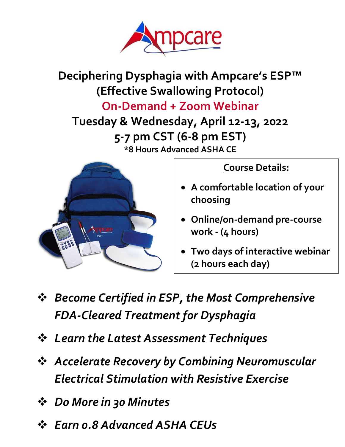

**Deciphering Dysphagia with Ampcare's ESP™ (Effective Swallowing Protocol) On-Demand + Zoom Webinar**

**Tuesday & Wednesday, April 12-13, 2022 5-7 pm CST (6-8 pm EST) \*8 Hours Advanced ASHA CE**



**Course Details:**

- **A comfortable location of your choosing**
- **Online/on-demand pre-course work - (4 hours)**
- **Two days of interactive webinar (2 hours each day)**
- ❖ *Become Certified in ESP, the Most Comprehensive FDA-Cleared Treatment for Dysphagia*
- ❖ *Learn the Latest Assessment Techniques*
- ❖ *Accelerate Recovery by Combining Neuromuscular Electrical Stimulation with Resistive Exercise*
- ❖ *Do More in 30 Minutes*
- ❖ *Earn 0.8 Advanced ASHA CEUs*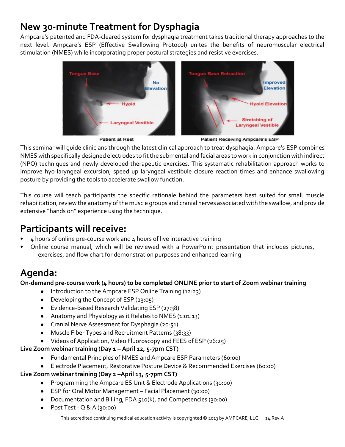## **New 30-minute Treatment for Dysphagia**

Ampcare's patented and FDA-cleared system for dysphagia treatment takes traditional therapy approaches to the next level. Ampcare's ESP (Effective Swallowing Protocol) unites the benefits of neuromuscular electrical stimulation (NMES) while incorporating proper postural strategies and resistive exercises.



**Patient at Rest** 

Patient Receiving Ampcare's ESP

This seminar will guide clinicians through the latest clinical approach to treat dysphagia. Ampcare's ESP combines NMES with specifically designed electrodes to fit the submental and facial areas to work in conjunction with indirect (NPO) techniques and newly developed therapeutic exercises. This systematic rehabilitation approach works to improve hy0-laryngeal excursion, speed up laryngeal vestibule closure reaction times and enhance swallowing posture by providing the tools to accelerate swallow function.

This course will teach participants the specific rationale behind the parameters best suited for small muscle rehabilitation, review the anatomy of the muscle groups and cranial nerves associated with the swallow, and provide extensive "hands on" experience using the technique.

## **Participants will receive:**

- 4 hours of online pre-course work and 4 hours of live interactive training
- Online course manual, which will be reviewed with a PowerPoint presentation that includes pictures, exercises, and flow chart for demonstration purposes and enhanced learning

## **Agenda:**

**On-demand pre-course work (4 hours) to be completed ONLINE prior to start of Zoom webinar training**

- Introduction to the Ampcare ESP Online Training (12:23)
- Developing the Concept of ESP (23:05)
- Evidence-Based Research Validating ESP (27:38)
- Anatomy and Physiology as it Relates to NMES (1:01:13)
- Cranial Nerve Assessment for Dysphagia (20:51)
- Muscle Fiber Types and Recruitment Patterns (38:33)
- Videos of Application, Video Fluoroscopy and FEES of ESP (26:25)

#### **Live Zoom webinar training (Day 1 – April 12, 5-7pm CST)**

- Fundamental Principles of NMES and Ampcare ESP Parameters (60:00)
- Electrode Placement, Restorative Posture Device & Recommended Exercises (60:00)

#### **Live Zoom webinar training (Day 2 –April 13, 5-7pm CST)**

- Programming the Ampcare ES Unit & Electrode Applications (30:00)
- ESP for Oral Motor Management Facial Placement (30:00)
- Documentation and Billing, FDA 510(k), and Competencies (30:00)
- Post Test Q & A (30:00)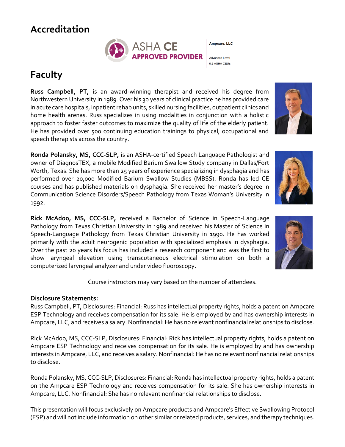## **Accreditation**



Ampcare, LLC

**Advanced Level** 0.8 ASHA CEUs

## **Faculty**

**Russ Campbell, PT,** is an award-winning therapist and received his degree from Northwestern University in 1989. Over his 30 years of clinical practice he has provided care in acute care hospitals, inpatient rehab units, skilled nursing facilities, outpatient clinics and home health arenas. Russ specializes in using modalities in conjunction with a holistic approach to foster faster outcomes to maximize the quality of life of the elderly patient. He has provided over 500 continuing education trainings to physical, occupational and speech therapists across the country.

**Ronda Polansky, MS, CCC-SLP,** is an ASHA-certified Speech Language Pathologist and owner of DiagnosTEX, a mobile Modified Barium Swallow Study company in Dallas/Fort Worth, Texas. She has more than 25 years of experience specializing in dysphagia and has performed over 20,000 Modified Barium Swallow Studies (MBSS). Ronda has led CE courses and has published materials on dysphagia. She received her master's degree in Communication Science Disorders/Speech Pathology from Texas Woman's University in 1992.

**Rick McAdoo, MS, CCC-SLP,** received a Bachelor of Science in Speech-Language Pathology from Texas Christian University in 1989 and received his Master of Science in Speech-Language Pathology from Texas Christian University in 1990. He has worked primarily with the adult neurogenic population with specialized emphasis in dysphagia. Over the past 20 years his focus has included a research component and was the first to show laryngeal elevation using transcutaneous electrical stimulation on both a computerized laryngeal analyzer and under video fluoroscopy.



Course instructors may vary based on the number of attendees.

#### **Disclosure Statements:**

Russ Campbell, PT, Disclosures: Financial: Russ has intellectual property rights, holds a patent on Ampcare ESP Technology and receives compensation for its sale. He is employed by and has ownership interests in Ampcare, LLC, and receives a salary. Nonfinancial: He has no relevant nonfinancial relationships to disclose.

Rick McAdoo, MS, CCC-SLP, Disclosures: Financial: Rick has intellectual property rights, holds a patent on Ampcare ESP Technology and receives compensation for its sale. He is employed by and has ownership interests in Ampcare, LLC, and receives a salary. Nonfinancial: He has no relevant nonfinancial relationships to disclose.

Ronda Polansky, MS, CCC-SLP, Disclosures: Financial: Ronda has intellectual property rights, holds a patent on the Ampcare ESP Technology and receives compensation for its sale. She has ownership interests in Ampcare, LLC. Nonfinancial: She has no relevant nonfinancial relationships to disclose.

This presentation will focus exclusively on Ampcare products and Ampcare's Effective Swallowing Protocol (ESP) and will not include information on other similar or related products, services, and therapy techniques.